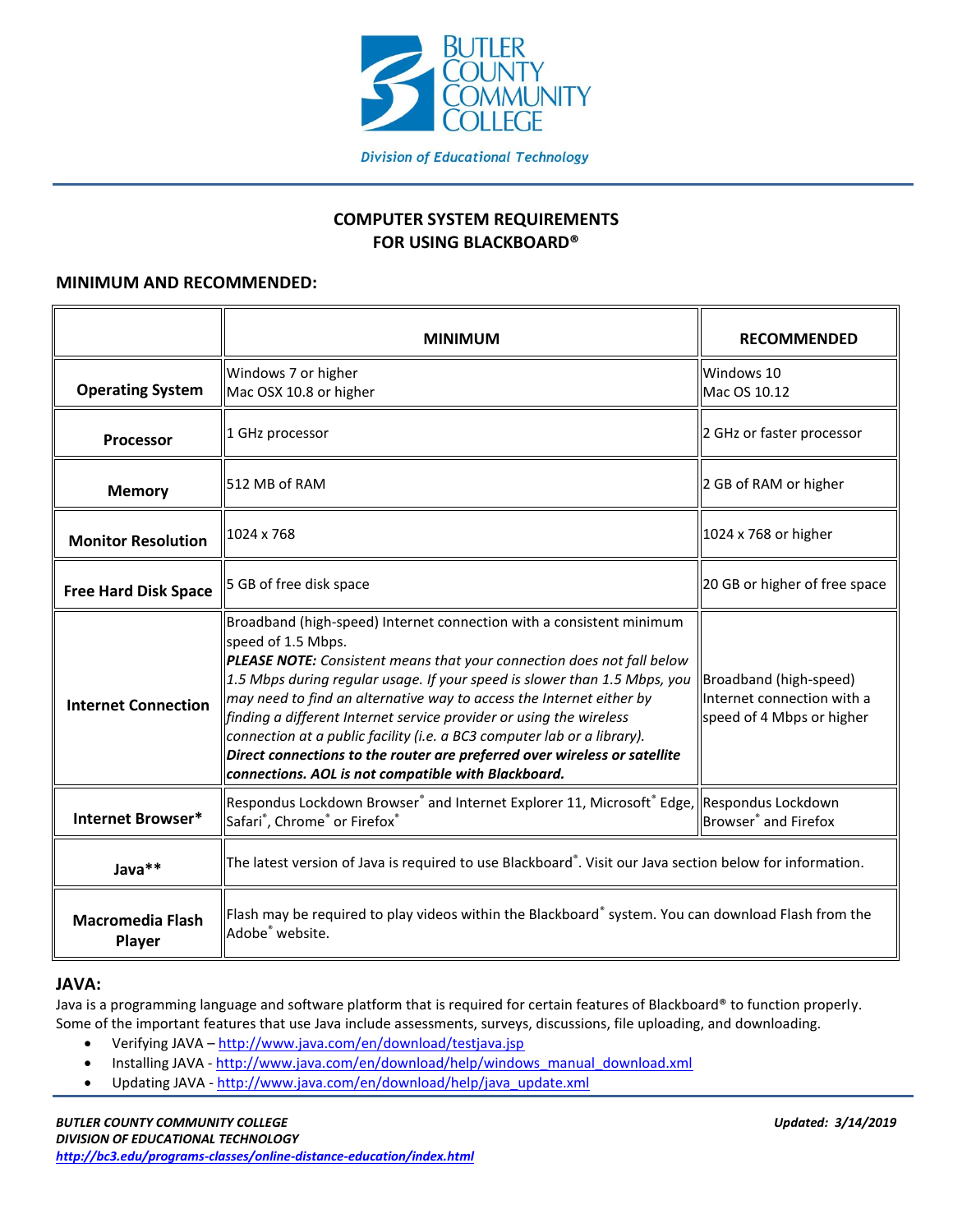

# **COMPUTER SYSTEM REQUIREMENTS FOR USING BLACKBOARD®**

## **MINIMUM AND RECOMMENDED:**

|                                   | <b>MINIMUM</b>                                                                                                                                                                                                                                                                                                                                                                                                                                                                                                                                                                                                                 | <b>RECOMMENDED</b>                                                                |
|-----------------------------------|--------------------------------------------------------------------------------------------------------------------------------------------------------------------------------------------------------------------------------------------------------------------------------------------------------------------------------------------------------------------------------------------------------------------------------------------------------------------------------------------------------------------------------------------------------------------------------------------------------------------------------|-----------------------------------------------------------------------------------|
| <b>Operating System</b>           | Windows 7 or higher<br>Mac OSX 10.8 or higher                                                                                                                                                                                                                                                                                                                                                                                                                                                                                                                                                                                  | Windows 10<br>Mac OS 10.12                                                        |
| <b>Processor</b>                  | 1 GHz processor                                                                                                                                                                                                                                                                                                                                                                                                                                                                                                                                                                                                                | 2 GHz or faster processor                                                         |
| <b>Memory</b>                     | 512 MB of RAM                                                                                                                                                                                                                                                                                                                                                                                                                                                                                                                                                                                                                  | 2 GB of RAM or higher                                                             |
| <b>Monitor Resolution</b>         | 1024 x 768                                                                                                                                                                                                                                                                                                                                                                                                                                                                                                                                                                                                                     | 1024 x 768 or higher                                                              |
| <b>Free Hard Disk Space</b>       | 5 GB of free disk space                                                                                                                                                                                                                                                                                                                                                                                                                                                                                                                                                                                                        | 20 GB or higher of free space                                                     |
| <b>Internet Connection</b>        | Broadband (high-speed) Internet connection with a consistent minimum<br>speed of 1.5 Mbps.<br><b>PLEASE NOTE:</b> Consistent means that your connection does not fall below<br>$\vert$ 1.5 Mbps during regular usage. If your speed is slower than 1.5 Mbps, you<br>may need to find an alternative way to access the Internet either by<br>finding a different Internet service provider or using the wireless<br>connection at a public facility (i.e. a BC3 computer lab or a library).<br>Direct connections to the router are preferred over wireless or satellite<br>connections. AOL is not compatible with Blackboard. | Broadband (high-speed)<br>Internet connection with a<br>speed of 4 Mbps or higher |
| <b>Internet Browser*</b>          | $\left\  \right\ $ Respondus Lockdown Browser $^{\circ}$ and Internet Explorer 11, Microsoft $^{\circ}$ Edge, $\left\  \right\ $ Respondus Lockdown<br>Safari <sup>®</sup> , Chrome <sup>®</sup> or Firefox <sup>®</sup>                                                                                                                                                                                                                                                                                                                                                                                                       | Browser <sup>®</sup> and Firefox                                                  |
| Java**                            | The latest version of Java is required to use Blackboard®. Visit our Java section below for information.                                                                                                                                                                                                                                                                                                                                                                                                                                                                                                                       |                                                                                   |
| <b>Macromedia Flash</b><br>Player | $\parallel$ Flash may be required to play videos within the Blackboard $\degree$ system. You can download Flash from the<br>Adobe <sup>®</sup> website.                                                                                                                                                                                                                                                                                                                                                                                                                                                                        |                                                                                   |

## **JAVA:**

Java is a programming language and software platform that is required for certain features of Blackboard® to function properly. Some of the important features that use Java include assessments, surveys, discussions, file uploading, and downloading.

- Verifying JAVA <http://www.java.com/en/download/testjava.jsp>
- Installing JAVA [http://www.java.com/en/download/help/windows\\_manual\\_download.xml](http://www.java.com/en/download/help/windows_manual_download.xml)
- Updating JAVA [http://www.java.com/en/download/help/java\\_update.xml](http://www.java.com/en/download/help/java_update.xml)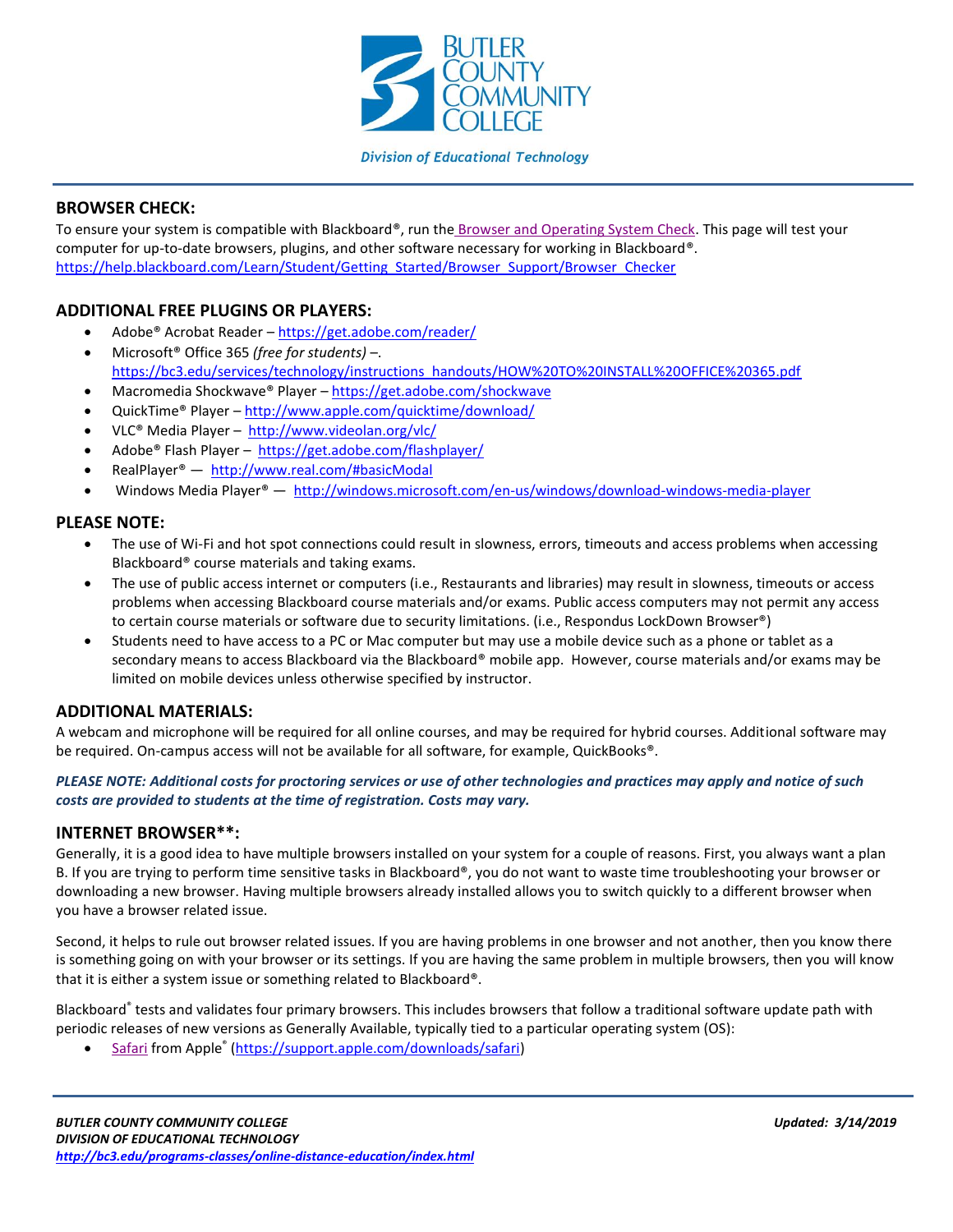

## **Division of Educational Technology**

## **BROWSER CHECK:**

To ensure your system is compatible with Blackboard®, run the [Browser and Operating System Check.](https://help.blackboard.com/Learn/Student/Getting_Started/Browser_Support/Browser_Checker) This page will test your computer for up-to-date browsers, plugins, and other software necessary for working in Blackboard®. [https://help.blackboard.com/Learn/Student/Getting\\_Started/Browser\\_Support/Browser\\_Checker](https://help.blackboard.com/Learn/Student/Getting_Started/Browser_Support/Browser_Checker)

## **ADDITIONAL FREE PLUGINS OR PLAYERS:**

- Adobe® Acrobat Reader <https://get.adobe.com/reader/>
- Microsoft® Office 365 *(free for students)* –. [https://bc3.edu/services/technology/instructions\\_handouts/HOW%20TO%20INSTALL%20OFFICE%20365.pdf](https://bc3.edu/services/technology/instructions_handouts/HOW%20TO%20INSTALL%20OFFICE%20365.pdf)
- Macromedia Shockwave® Player <https://get.adobe.com/shockwave>
- QuickTime® Player <http://www.apple.com/quicktime/download/>
- VLC® Media Player <http://www.videolan.org/vlc/>
- Adobe® Flash Player <https://get.adobe.com/flashplayer/>
- RealPlayer® <http://www.real.com/#basicModal>
- Windows Media Player® <http://windows.microsoft.com/en-us/windows/download-windows-media-player>

## **PLEASE NOTE:**

- The use of Wi-Fi and hot spot connections could result in slowness, errors, timeouts and access problems when accessing Blackboard® course materials and taking exams.
- The use of public access internet or computers (i.e., Restaurants and libraries) may result in slowness, timeouts or access problems when accessing Blackboard course materials and/or exams. Public access computers may not permit any access to certain course materials or software due to security limitations. (i.e., Respondus LockDown Browser®)
- Students need to have access to a PC or Mac computer but may use a mobile device such as a phone or tablet as a secondary means to access Blackboard via the Blackboard® mobile app. However, course materials and/or exams may be limited on mobile devices unless otherwise specified by instructor.

#### **ADDITIONAL MATERIALS:**

A webcam and microphone will be required for all online courses, and may be required for hybrid courses. Additional software may be required. On-campus access will not be available for all software, for example, QuickBooks®.

#### *PLEASE NOTE: Additional costs for proctoring services or use of other technologies and practices may apply and notice of such costs are provided to students at the time of registration. Costs may vary.*

#### **INTERNET BROWSER\*\*:**

Generally, it is a good idea to have multiple browsers installed on your system for a couple of reasons. First, you always want a plan B. If you are trying to perform time sensitive tasks in Blackboard®, you do not want to waste time troubleshooting your browser or downloading a new browser. Having multiple browsers already installed allows you to switch quickly to a different browser when you have a browser related issue.

Second, it helps to rule out browser related issues. If you are having problems in one browser and not another, then you know there is something going on with your browser or its settings. If you are having the same problem in multiple browsers, then you will know that it is either a system issue or something related to Blackboard®.

Blackboard® tests and validates four primary browsers. This includes browsers that follow a traditional software update path with periodic releases of new versions as Generally Available, typically tied to a particular operating system (OS):

• [Safari](https://support.apple.com/downloads/safari) from Apple<sup>®</sup> [\(https://support.apple.com/downloads/safari\)](https://support.apple.com/downloads/safari)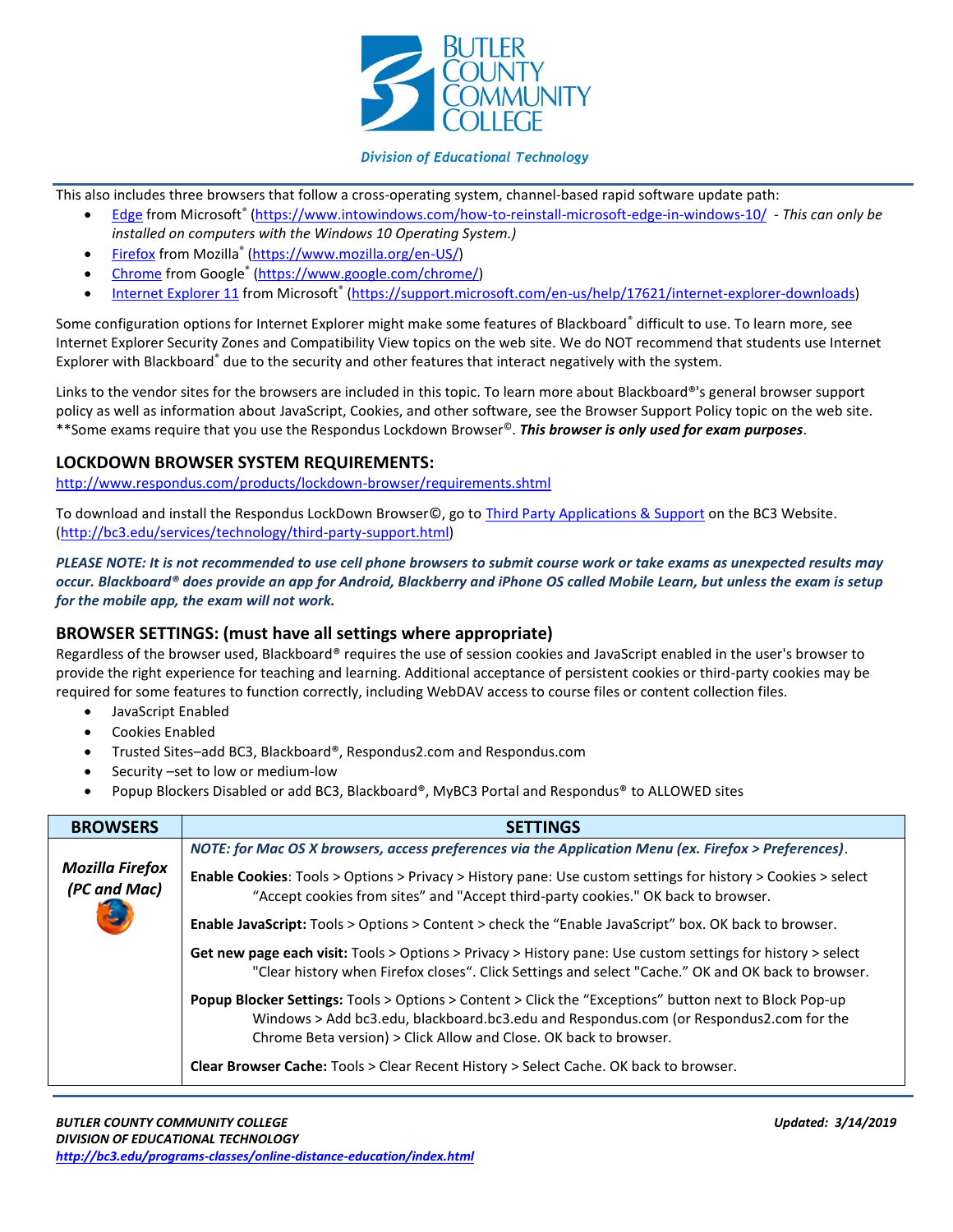

#### **Division of Educational Technology**

This also includes three browsers that follow a cross-operating system, channel-based rapid software update path:

- [Edge](http://www.intowindows.com/how-to-reinstall-microsoft-edge-in-windows-10/) from Microsoft® [\(https://www.intowindows.com/how-to-reinstall-microsoft-edge-in-windows-10/](https://www.intowindows.com/how-to-reinstall-microsoft-edge-in-windows-10/) *- This can only be installed on computers with the Windows 10 Operating System.)*
- [Firefox](https://www.mozilla.org/) from Mozilla<sup>®</sup> [\(https://www.mozilla.org/en-US/\)](https://www.mozilla.org/en-US/)
- [Chrome](https://www.google.com/chrome) from Google® [\(https://www.google.com/chrome/\)](https://www.google.com/chrome/)
- [Internet Explorer 11](https://support.microsoft.com/en-us/help/17621)</u> from Microsoft<sup>®</sup> [\(https://support.microsoft.com/en-us/help/17621/internet-explorer-downloads\)](https://support.microsoft.com/en-us/help/17621/internet-explorer-downloads)

Some configuration options for Internet Explorer might make some features of Blackboard<sup>®</sup> difficult to use. To learn more, see Internet Explorer Security Zones and Compatibility View topics on the web site. We do NOT recommend that students use Internet Explorer with Blackboard<sup>®</sup> due to the security and other features that interact negatively with the system.

Links to the vendor sites for the browsers are included in this topic. To learn more about Blackboard®'s general browser support policy as well as information about JavaScript, Cookies, and other software, see the Browser Support Policy topic on the web site. \*\*Some exams require that you use the Respondus Lockdown Browser©. *This browser is only used for exam purposes*.

## **LOCKDOWN BROWSER SYSTEM REQUIREMENTS:**

<http://www.respondus.com/products/lockdown-browser/requirements.shtml>

To download and install the Respondus LockDown Browser©, go to [Third Party Applications & Support](https://bc3.edu/services/technology/third-party-support.html) on the BC3 Website. [\(http://bc3.edu/services/technology/third-party-support.html\)](http://bc3.edu/services/technology/third-party-support.html)

*PLEASE NOTE: It is not recommended to use cell phone browsers to submit course work or take exams as unexpected results may occur. Blackboard® does provide an app for Android, Blackberry and iPhone OS called Mobile Learn, but unless the exam is setup for the mobile app, the exam will not work.*

# **BROWSER SETTINGS: (must have all settings where appropriate)**

Regardless of the browser used, Blackboard® requires the use of session cookies and JavaScript enabled in the user's browser to provide the right experience for teaching and learning. Additional acceptance of persistent cookies or third-party cookies may be required for some features to function correctly, including WebDAV access to course files or content collection files.

- JavaScript Enabled
- Cookies Enabled
- Trusted Sites–add BC3, Blackboard®, Respondus2.com and Respondus.com
- Security –set to low or medium-low
- Popup Blockers Disabled or add BC3, Blackboard®, MyBC3 Portal and Respondus® to ALLOWED sites

| <b>BROWSERS</b>                 | <b>SETTINGS</b>                                                                                                                                                                                                                                                              |  |
|---------------------------------|------------------------------------------------------------------------------------------------------------------------------------------------------------------------------------------------------------------------------------------------------------------------------|--|
|                                 | NOTE: for Mac OS X browsers, access preferences via the Application Menu (ex. Firefox > Preferences).                                                                                                                                                                        |  |
| Mozilla Firefox<br>(PC and Mac) | <b>Enable Cookies:</b> Tools > Options > Privacy > History pane: Use custom settings for history > Cookies > select<br>"Accept cookies from sites" and "Accept third-party cookies." OK back to browser.                                                                     |  |
|                                 | Enable JavaScript: Tools > Options > Content > check the "Enable JavaScript" box. OK back to browser.                                                                                                                                                                        |  |
|                                 | Get new page each visit: Tools > Options > Privacy > History pane: Use custom settings for history > select<br>"Clear history when Firefox closes". Click Settings and select "Cache." OK and OK back to browser.                                                            |  |
|                                 | <b>Popup Blocker Settings:</b> Tools > Options > Content > Click the "Exceptions" button next to Block Pop-up<br>Windows > Add bc3.edu, blackboard.bc3.edu and Respondus.com (or Respondus2.com for the<br>Chrome Beta version) > Click Allow and Close. OK back to browser. |  |
|                                 | <b>Clear Browser Cache:</b> Tools > Clear Recent History > Select Cache. OK back to browser.                                                                                                                                                                                 |  |